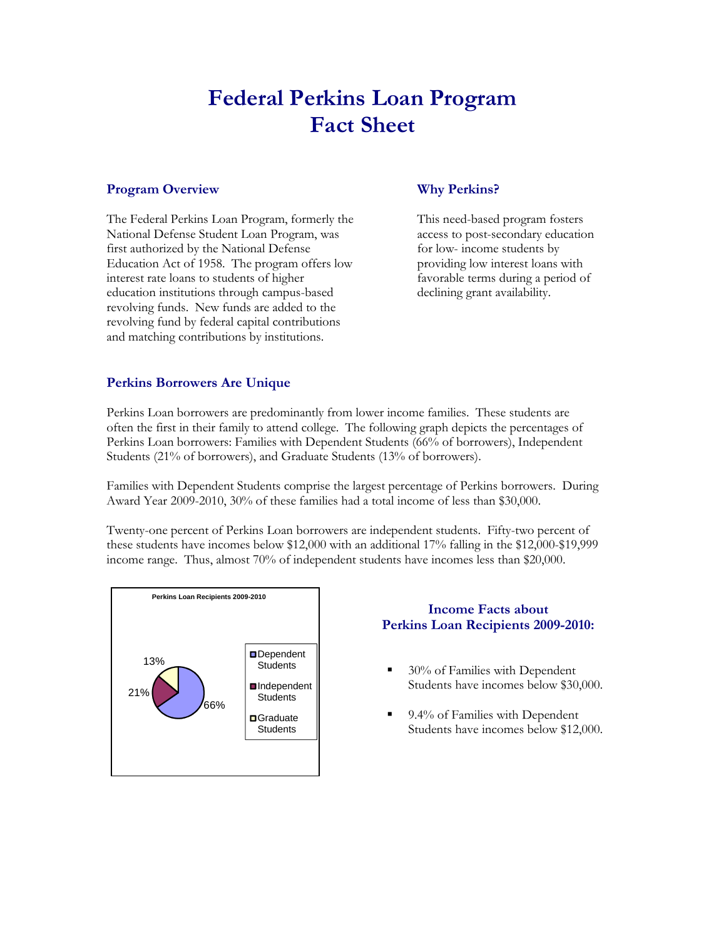# **Federal Perkins Loan Program Fact Sheet**

#### **Program Overview**

The Federal Perkins Loan Program, formerly the National Defense Student Loan Program, was first authorized by the National Defense Education Act of 1958. The program offers low interest rate loans to students of higher education institutions through campus-based revolving funds. New funds are added to the revolving fund by federal capital contributions and matching contributions by institutions.

# **Why Perkins?**

This need-based program fosters access to post-secondary education for low- income students by providing low interest loans with favorable terms during a period of declining grant availability.

# **Perkins Borrowers Are Unique**

Perkins Loan borrowers are predominantly from lower income families. These students are often the first in their family to attend college. The following graph depicts the percentages of Perkins Loan borrowers: Families with Dependent Students (66% of borrowers), Independent Students (21% of borrowers), and Graduate Students (13% of borrowers).

Families with Dependent Students comprise the largest percentage of Perkins borrowers. During Award Year 2009-2010, 30% of these families had a total income of less than \$30,000.

Twenty-one percent of Perkins Loan borrowers are independent students. Fifty-two percent of these students have incomes below \$12,000 with an additional 17% falling in the \$12,000-\$19,999 income range. Thus, almost 70% of independent students have incomes less than \$20,000.



# **Income Facts about Perkins Loan Recipients 2009-2010:**

- 30% of Families with Dependent Students have incomes below \$30,000.
- 9.4% of Families with Dependent Students have incomes below \$12,000.